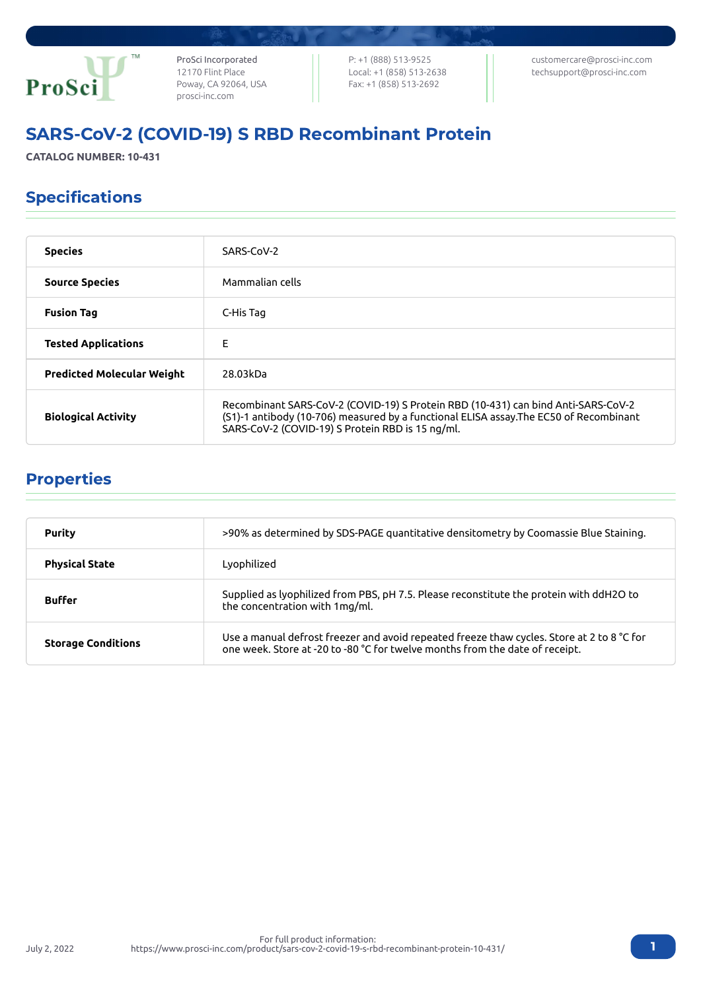

ProSci Incorporated 12170 Flint Place Poway, CA 92064, USA [prosci-inc.com](https://prosci-inc.com/)

P: +1 (888) 513-9525 Local: +1 (858) 513-2638 Fax: +1 (858) 513-2692

[customercare@prosci-inc.com](mailto:customercare@prosci-inc.com) [techsupport@prosci-inc.com](mailto:techsupport@prosci-inc.com)

# SARS-CoV-2 (COVID-19) S RBD Recombinant Protein

**CATALOG NUMBER: 10-431**

# Specifications

| <b>Species</b>                    | SARS-CoV-2                                                                                                                                                                                                                      |
|-----------------------------------|---------------------------------------------------------------------------------------------------------------------------------------------------------------------------------------------------------------------------------|
| <b>Source Species</b>             | Mammalian cells                                                                                                                                                                                                                 |
| <b>Fusion Tag</b>                 | C-His Tag                                                                                                                                                                                                                       |
| <b>Tested Applications</b>        | F                                                                                                                                                                                                                               |
| <b>Predicted Molecular Weight</b> | 28.03kDa                                                                                                                                                                                                                        |
| <b>Biological Activity</b>        | Recombinant SARS-CoV-2 (COVID-19) S Protein RBD (10-431) can bind Anti-SARS-CoV-2<br>(S1)-1 antibody (10-706) measured by a functional ELISA assay. The EC50 of Recombinant<br>SARS-CoV-2 (COVID-19) S Protein RBD is 15 ng/ml. |

### Properties

| <b>Purity</b>             | >90% as determined by SDS-PAGE quantitative densitometry by Coomassie Blue Staining.                                                                                       |
|---------------------------|----------------------------------------------------------------------------------------------------------------------------------------------------------------------------|
| <b>Physical State</b>     | Lyophilized                                                                                                                                                                |
| <b>Buffer</b>             | Supplied as lyophilized from PBS, pH 7.5. Please reconstitute the protein with ddH2O to<br>the concentration with 1mg/ml.                                                  |
| <b>Storage Conditions</b> | Use a manual defrost freezer and avoid repeated freeze thaw cycles. Store at 2 to 8 °C for<br>one week. Store at -20 to -80 °C for twelve months from the date of receipt. |